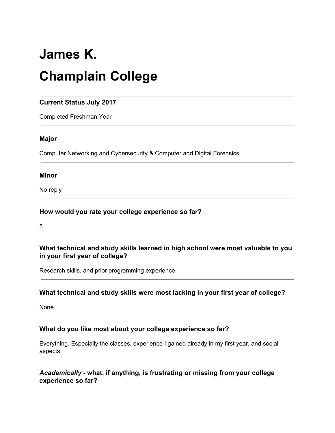# **James K. Champlain College**

# **Current Status July 2017**

Completed Freshman Year

#### **Major**

Computer Networking and Cybersecurity & Computer and Digital Forensics

#### **Minor**

No reply

## **How would you rate your college experience so far?**

5

## **What technical and study skills learned in high school were most valuable to you in your first year of college?**

Research skills, and prior programming experience.

## **What technical and study skills were most lacking in your first year of college?**

None

## **What do you like most about your college experience so far?**

Everything. Especially the classes, experience I gained already in my first year, and social aspects

# *Academically* **- what, if anything, is frustrating or missing from your college experience so far?**